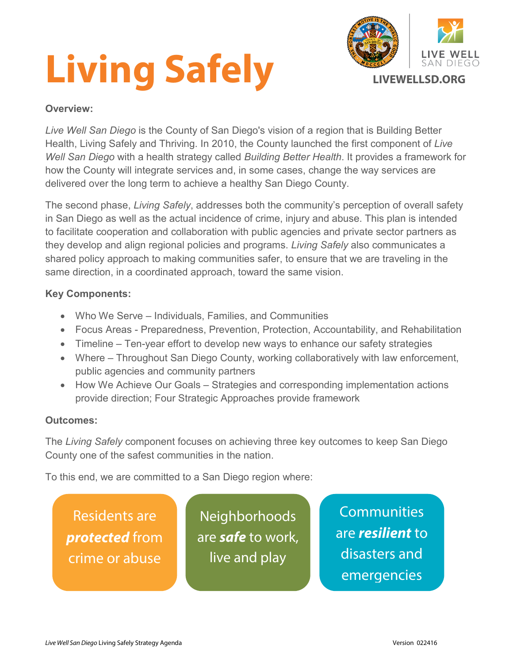# **Living Safely**



# **Overview:**

*Live Well San Diego* is the County of San Diego's vision of a region that is Building Better Health, Living Safely and Thriving. In 2010, the County launched the first component of *Live Well San Diego* with a health strategy called *Building Better Health*. It provides a framework for how the County will integrate services and, in some cases, change the way services are delivered over the long term to achieve a healthy San Diego County.

The second phase, *Living Safely*, addresses both the community's perception of overall safety in San Diego as well as the actual incidence of crime, injury and abuse. This plan is intended to facilitate cooperation and collaboration with public agencies and private sector partners as they develop and align regional policies and programs. *Living Safely* also communicates a shared policy approach to making communities safer, to ensure that we are traveling in the same direction, in a coordinated approach, toward the same vision.

# **Key Components:**

- Who We Serve Individuals, Families, and Communities
- Focus Areas Preparedness, Prevention, Protection, Accountability, and Rehabilitation
- Timeline Ten-year effort to develop new ways to enhance our safety strategies
- Where Throughout San Diego County, working collaboratively with law enforcement, public agencies and community partners
- How We Achieve Our Goals Strategies and corresponding implementation actions provide direction; Four Strategic Approaches provide framework

# **Outcomes:**

The *Living Safely* component focuses on achieving three key outcomes to keep San Diego County one of the safest communities in the nation.

To this end, we are committed to a San Diego region where:

Residents are *protected* from crime or abuse

**Neighborhoods** are *safe* to work, live and play

**Communities** are *resilient* to disasters and emergencies